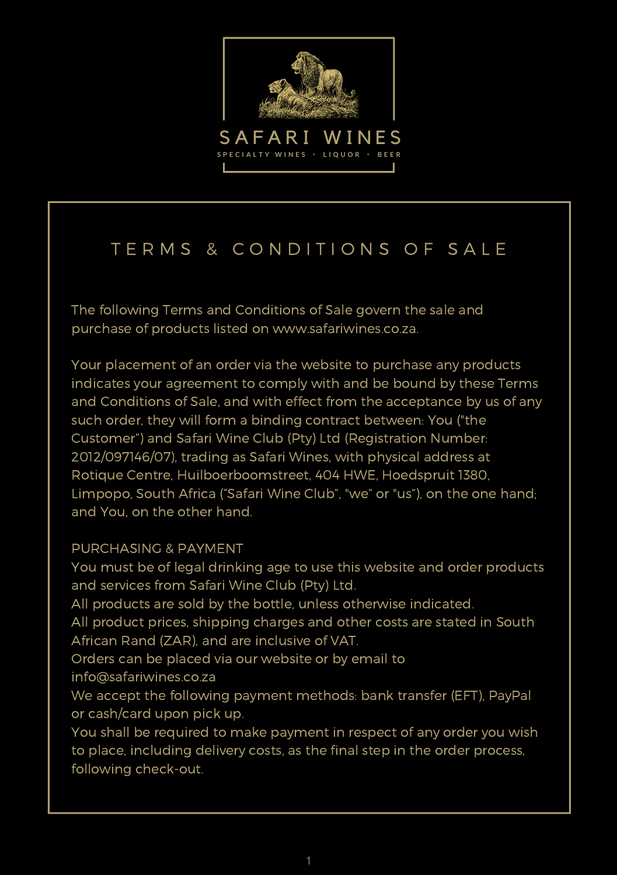

# TERMS & CONDITIONS OF SALE

The following Terms and Conditions of Sale govern the sale and purchase of products listed on www.safariwines.co.za.

Your placement of an order via the website to purchase any products indicates your agreement to comply with and be bound by these Terms and Conditions of Sale, and with effect from the acceptance by us of any such order, they will form a binding contract between: You ("the Customer") and Safari Wine Club (Pty) Ltd (Registration Number: 2012/097146/07), trading as Safari Wines, with physical address at Rotique Centre, Huilboerboomstreet, 404 HWE, Hoedspruit 1380, Limpopo, South Africa ("Safari Wine Club", "we" or "us"), on the one hand; and You, on the other hand.

#### PURCHASING & PAYMENT

You must be of legal drinking age to use this website and order products and services from Safari Wine Club (Pty) Ltd. All products are sold by the bottle, unless otherwise indicated. All product prices, shipping charges and other costs are stated in South African Rand (ZAR), and are inclusive of VAT. Orders can be placed via our website or by email to info@safariwines.co.za We accept the following payment methods: bank transfer (EFT), PayPal or cash/card upon pick up. You shall be required to make payment in respect of any order you wish

to place, including delivery costs, as the final step in the order process, following check-out.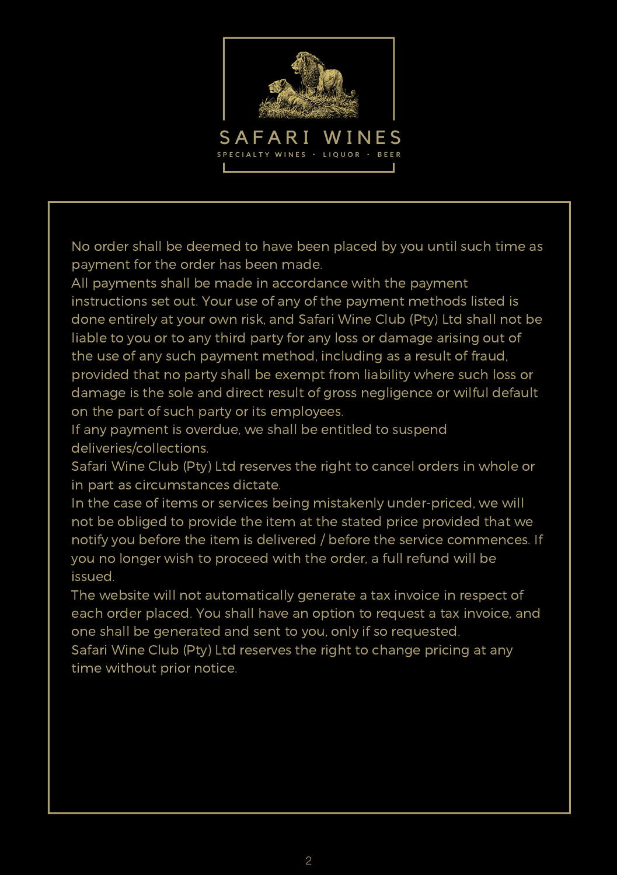

No order shall be deemed to have been placed by you until such time as payment for the order has been made.

All payments shall be made in accordance with the payment instructions set out. Your use of any of the payment methods listed is done entirely at your own risk, and Safari Wine Club (Pty) Ltd shall not be liable to you or to any third party for any loss or damage arising out of the use of any such payment method, including as a result of fraud, provided that no party shall be exempt from liability where such loss or damage is the sole and direct result of gross negligence or wilful default on the part of such party or its employees.

If any payment is overdue, we shall be entitled to suspend deliveries/collections.

Safari Wine Club (Pty) Ltd reserves the right to cancel orders in whole or in part as circumstances dictate.

In the case of items or services being mistakenly under-priced, we will not be obliged to provide the item at the stated price provided that we notify you before the item is delivered / before the service commences. If you no longer wish to proceed with the order, a full refund will be issued.

The website will not automatically generate a tax invoice in respect of each order placed. You shall have an option to request a tax invoice, and one shall be generated and sent to you, only if so requested.

Safari Wine Club (Pty) Ltd reserves the right to change pricing at any time without prior notice.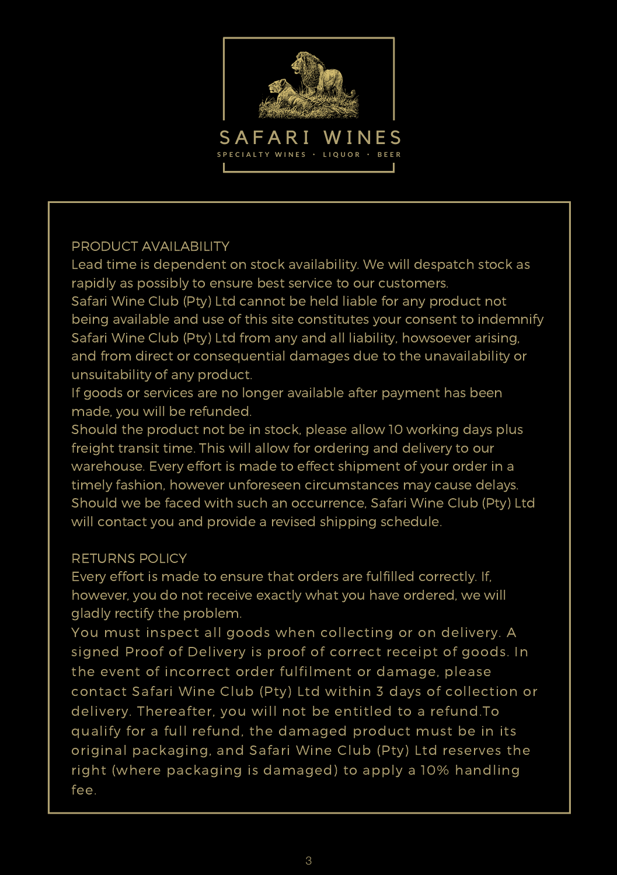

## PRODUCT AVAILABILITY

Lead time is dependent on stock availability. We will despatch stock as rapidly as possibly to ensure best service to our customers.

Safari Wine Club (Pty) Ltd cannot be held liable for any product not being available and use of this site constitutes your consent to indemnify Safari Wine Club (Pty) Ltd from any and all liability, howsoever arising, and from direct or consequential damages due to the unavailability or unsuitability of any product.

If goods or services are no longer available after payment has been made, you will be refunded.

Should the product not be in stock, please allow 10 working days plus freight transit time. This will allow for ordering and delivery to our warehouse. Every effort is made to effect shipment of your order in a timely fashion, however unforeseen circumstances may cause delays. Should we be faced with such an occurrence, Safari Wine Club (Pty) Ltd will contact you and provide a revised shipping schedule.

## RETURNS POLICY

Every effort is made to ensure that orders are fulfilled correctly. If, however, you do not receive exactly what you have ordered, we will gladly rectify the problem.

You must inspect all goods when collecting or on delivery. A signed Proof of Delivery is proof of correct receipt of goods. In the event of incorrect order fulfilment or damage, please contact Safari Wine Club (Pty) Ltd within 3 days of collection or delivery. Thereafter, you will not be entitled to a refund.To qualify for a full refund, the damaged product must be in its original packaging, and Safari Wine Club (Pty) Ltd reserves the right (where packaging is damaged) to apply a 10% handling fee.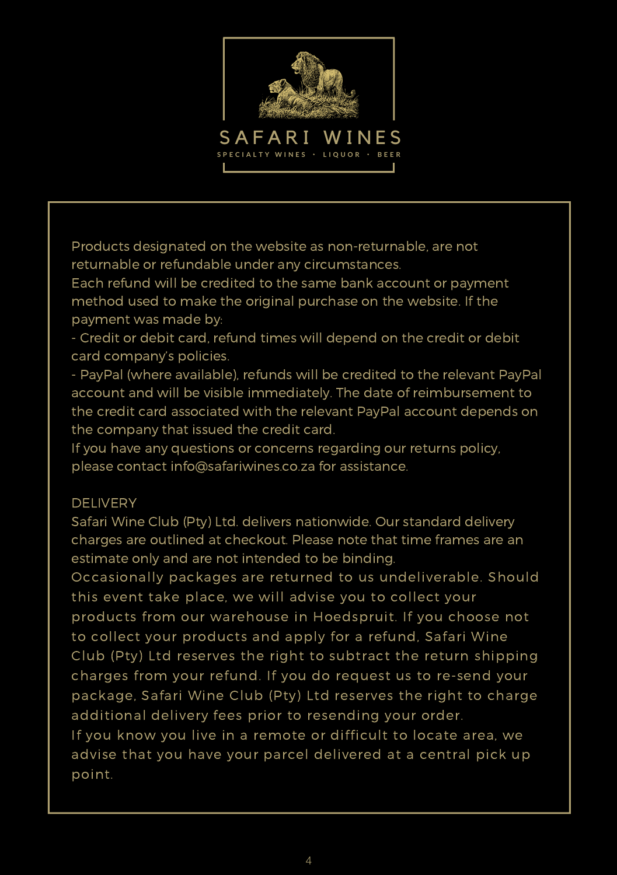

Products designated on the website as non-returnable, are not returnable or refundable under any circumstances.

Each refund will be credited to the same bank account or payment method used to make the original purchase on the website. If the payment was made by:

- Credit or debit card, refund times will depend on the credit or debit card company's policies.

- PayPal (where available), refunds will be credited to the relevant PayPal account and will be visible immediately. The date of reimbursement to the credit card associated with the relevant PayPal account depends on the company that issued the credit card.

If you have any questions or concerns regarding our returns policy, please contact info@safariwines.co.za for assistance.

#### DELIVERY

Safari Wine Club (Pty) Ltd. delivers nationwide. Our standard delivery charges are outlined at checkout. Please note that time frames are an estimate only and are not intended to be binding.

Occasionally packages are returned to us undeliverable. Should this event take place, we will advise you to collect your products from our warehouse in Hoedspruit. If you choose not to collect your products and apply for a refund, Safari Wine Club (Pty) Ltd reserves the right to subtract the return shipping charges from your refund. If you do request us to re-send your package, Safari Wine Club (Pty) Ltd reserves the right to charge additional delivery fees prior to resending your order. If you know you live in a remote or difficult to locate area, we advise that you have your parcel delivered at a central pick up point.